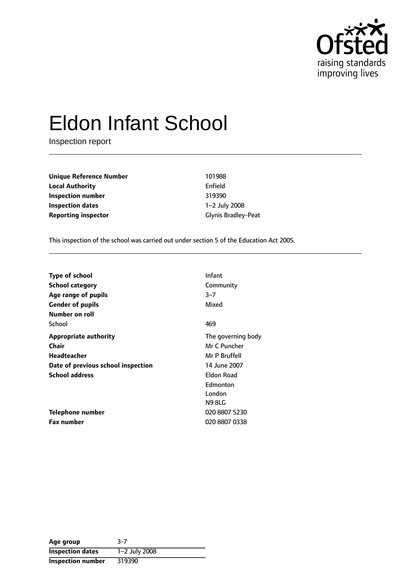

# Eldon Infant School

Inspection report

**Unique Reference Number** 101988 **Local Authority** Enfield **Inspection number** 319390 **Inspection dates** 1-2 July 2008 **Reporting inspector** Glynis Bradley-Peat

This inspection of the school was carried out under section 5 of the Education Act 2005.

| <b>Type of school</b><br><b>School category</b>                  | <b>Infant</b><br>Community                              |
|------------------------------------------------------------------|---------------------------------------------------------|
| Age range of pupils<br><b>Gender of pupils</b><br>Number on roll | $3 - 7$<br>Mixed                                        |
| School                                                           | 469                                                     |
| Appropriate authority<br>Chair<br>Headteacher                    | The governing body<br>Mr C Puncher<br>Mr P Bruffell     |
| Date of previous school inspection                               | 14 June 2007                                            |
| <b>School address</b>                                            | <b>Eldon Road</b><br>Edmonton<br>London<br><b>N98LG</b> |
| Telephone number                                                 | 020 8807 5230                                           |
| <b>Fax number</b>                                                | 020 8807 0338                                           |

| Age group                | $3-7$         |
|--------------------------|---------------|
| <b>Inspection dates</b>  | 1-2 July 2008 |
| <b>Inspection number</b> | 319390        |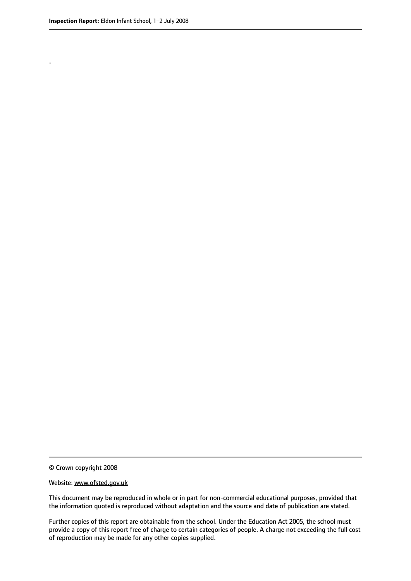.

© Crown copyright 2008

#### Website: www.ofsted.gov.uk

This document may be reproduced in whole or in part for non-commercial educational purposes, provided that the information quoted is reproduced without adaptation and the source and date of publication are stated.

Further copies of this report are obtainable from the school. Under the Education Act 2005, the school must provide a copy of this report free of charge to certain categories of people. A charge not exceeding the full cost of reproduction may be made for any other copies supplied.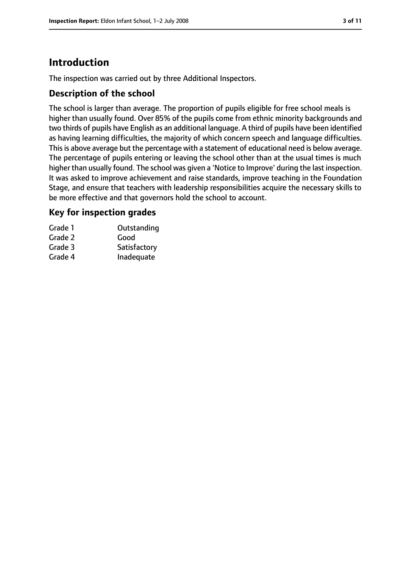# **Introduction**

The inspection was carried out by three Additional Inspectors.

## **Description of the school**

The school is larger than average. The proportion of pupils eligible for free school meals is higher than usually found. Over 85% of the pupils come from ethnic minority backgrounds and two thirds of pupils have English as an additional language. A third of pupils have been identified as having learning difficulties, the majority of which concern speech and language difficulties. This is above average but the percentage with a statement of educational need is below average. The percentage of pupils entering or leaving the school other than at the usual times is much higher than usually found. The school was given a 'Notice to Improve' during the last inspection. It was asked to improve achievement and raise standards, improve teaching in the Foundation Stage, and ensure that teachers with leadership responsibilities acquire the necessary skills to be more effective and that governors hold the school to account.

## **Key for inspection grades**

| Grade 1 | Outstanding  |
|---------|--------------|
| Grade 2 | Good         |
| Grade 3 | Satisfactory |
| Grade 4 | Inadequate   |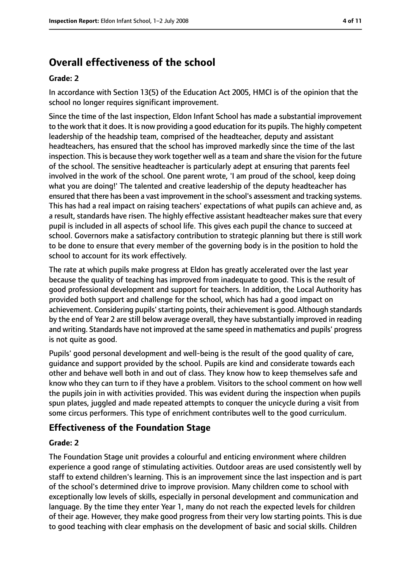## **Overall effectiveness of the school**

#### **Grade: 2**

In accordance with Section 13(5) of the Education Act 2005, HMCI is of the opinion that the school no longer requires significant improvement.

Since the time of the last inspection, Eldon Infant School has made a substantial improvement to the work that it does. It is now providing a good education for its pupils. The highly competent leadership of the headship team, comprised of the headteacher, deputy and assistant headteachers, has ensured that the school has improved markedly since the time of the last inspection. This is because they work together well as a team and share the vision for the future of the school. The sensitive headteacher is particularly adept at ensuring that parents feel involved in the work of the school. One parent wrote, 'I am proud of the school, keep doing what you are doing!' The talented and creative leadership of the deputy headteacher has ensured that there has been a vast improvement in the school's assessment and tracking systems. This has had a real impact on raising teachers' expectations of what pupils can achieve and, as a result, standards have risen. The highly effective assistant headteacher makes sure that every pupil is included in all aspects of school life. This gives each pupil the chance to succeed at school. Governors make a satisfactory contribution to strategic planning but there is still work to be done to ensure that every member of the governing body is in the position to hold the school to account for its work effectively.

The rate at which pupils make progress at Eldon has greatly accelerated over the last year because the quality of teaching has improved from inadequate to good. This is the result of good professional development and support for teachers. In addition, the Local Authority has provided both support and challenge for the school, which has had a good impact on achievement. Considering pupils' starting points, their achievement is good. Although standards by the end of Year 2 are still below average overall, they have substantially improved in reading and writing. Standards have not improved at the same speed in mathematics and pupils' progress is not quite as good.

Pupils' good personal development and well-being is the result of the good quality of care, guidance and support provided by the school. Pupils are kind and considerate towards each other and behave well both in and out of class. They know how to keep themselves safe and know who they can turn to if they have a problem. Visitors to the school comment on how well the pupils join in with activities provided. This was evident during the inspection when pupils spun plates, juggled and made repeated attempts to conquer the unicycle during a visit from some circus performers. This type of enrichment contributes well to the good curriculum.

## **Effectiveness of the Foundation Stage**

#### **Grade: 2**

The Foundation Stage unit provides a colourful and enticing environment where children experience a good range of stimulating activities. Outdoor areas are used consistently well by staff to extend children's learning. This is an improvement since the last inspection and is part of the school's determined drive to improve provision. Many children come to school with exceptionally low levels of skills, especially in personal development and communication and language. By the time they enter Year 1, many do not reach the expected levels for children of their age. However, they make good progress from their very low starting points. This is due to good teaching with clear emphasis on the development of basic and social skills. Children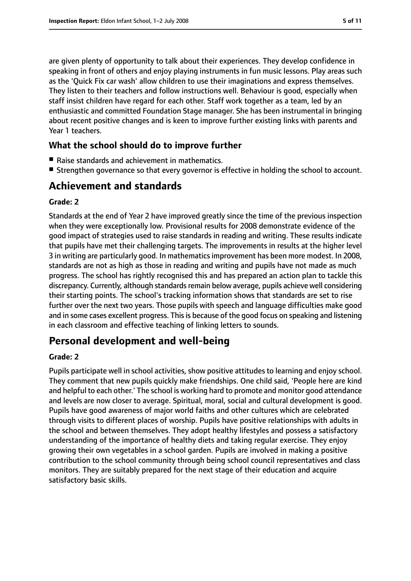are given plenty of opportunity to talk about their experiences. They develop confidence in speaking in front of others and enjoy playing instruments in fun music lessons. Play areas such as the 'Quick Fix car wash' allow children to use their imaginations and express themselves. They listen to their teachers and follow instructions well. Behaviour is good, especially when staff insist children have regard for each other. Staff work together as a team, led by an enthusiastic and committed Foundation Stage manager. She has been instrumental in bringing about recent positive changes and is keen to improve further existing links with parents and Year 1 teachers.

## **What the school should do to improve further**

- Raise standards and achievement in mathematics.
- Strengthen governance so that every governor is effective in holding the school to account.

## **Achievement and standards**

#### **Grade: 2**

Standards at the end of Year 2 have improved greatly since the time of the previous inspection when they were exceptionally low. Provisional results for 2008 demonstrate evidence of the good impact of strategies used to raise standards in reading and writing. These results indicate that pupils have met their challenging targets. The improvements in results at the higher level 3 in writing are particularly good. In mathematicsimprovement has been more modest. In 2008, standards are not as high as those in reading and writing and pupils have not made as much progress. The school has rightly recognised this and has prepared an action plan to tackle this discrepancy. Currently, although standards remain below average, pupils achieve well considering their starting points. The school's tracking information shows that standards are set to rise further over the next two years. Those pupils with speech and language difficulties make good and in some cases excellent progress. This is because of the good focus on speaking and listening in each classroom and effective teaching of linking letters to sounds.

## **Personal development and well-being**

#### **Grade: 2**

Pupils participate well in school activities, show positive attitudes to learning and enjoy school. They comment that new pupils quickly make friendships. One child said, 'People here are kind and helpful to each other.' The school is working hard to promote and monitor good attendance and levels are now closer to average. Spiritual, moral, social and cultural development is good. Pupils have good awareness of major world faiths and other cultures which are celebrated through visits to different places of worship. Pupils have positive relationships with adults in the school and between themselves. They adopt healthy lifestyles and possess a satisfactory understanding of the importance of healthy diets and taking regular exercise. They enjoy growing their own vegetables in a school garden. Pupils are involved in making a positive contribution to the school community through being school council representatives and class monitors. They are suitably prepared for the next stage of their education and acquire satisfactory basic skills.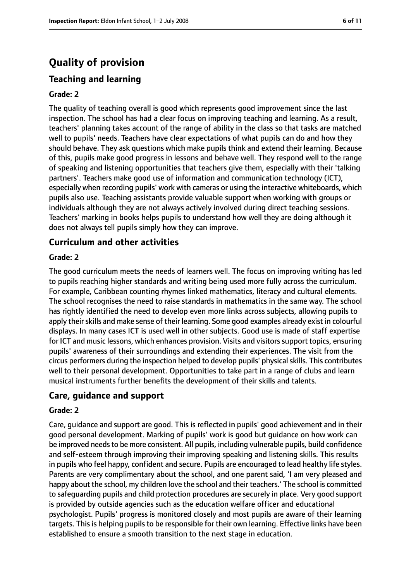# **Quality of provision**

## **Teaching and learning**

#### **Grade: 2**

The quality of teaching overall is good which represents good improvement since the last inspection. The school has had a clear focus on improving teaching and learning. As a result, teachers' planning takes account of the range of ability in the class so that tasks are matched well to pupils' needs. Teachers have clear expectations of what pupils can do and how they should behave. They ask questions which make pupils think and extend their learning. Because of this, pupils make good progress in lessons and behave well. They respond well to the range of speaking and listening opportunities that teachers give them, especially with their 'talking partners'. Teachers make good use of information and communication technology (ICT), especially when recording pupils' work with cameras or using the interactive whiteboards, which pupils also use. Teaching assistants provide valuable support when working with groups or individuals although they are not always actively involved during direct teaching sessions. Teachers' marking in books helps pupils to understand how well they are doing although it does not always tell pupils simply how they can improve.

#### **Curriculum and other activities**

#### **Grade: 2**

The good curriculum meets the needs of learners well. The focus on improving writing has led to pupils reaching higher standards and writing being used more fully across the curriculum. For example, Caribbean counting rhymes linked mathematics, literacy and cultural elements. The school recognises the need to raise standards in mathematics in the same way. The school has rightly identified the need to develop even more links across subjects, allowing pupils to apply their skills and make sense of their learning. Some good examples already exist in colourful displays. In many cases ICT is used well in other subjects. Good use is made of staff expertise for ICT and music lessons, which enhances provision. Visits and visitorssupport topics, ensuring pupils' awareness of their surroundings and extending their experiences. The visit from the circus performers during the inspection helped to develop pupils' physical skills. This contributes well to their personal development. Opportunities to take part in a range of clubs and learn musical instruments further benefits the development of their skills and talents.

## **Care, guidance and support**

#### **Grade: 2**

Care, guidance and support are good. This is reflected in pupils' good achievement and in their good personal development. Marking of pupils' work is good but guidance on how work can be improved needs to be more consistent. All pupils, including vulnerable pupils, build confidence and self-esteem through improving their improving speaking and listening skills. This results in pupils who feel happy, confident and secure. Pupils are encouraged to lead healthy life styles. Parents are very complimentary about the school, and one parent said, 'I am very pleased and happy about the school, my children love the school and their teachers.' The school is committed to safeguarding pupils and child protection procedures are securely in place. Very good support is provided by outside agencies such as the education welfare officer and educational psychologist. Pupils' progress is monitored closely and most pupils are aware of their learning targets. This is helping pupils to be responsible for their own learning. Effective links have been established to ensure a smooth transition to the next stage in education.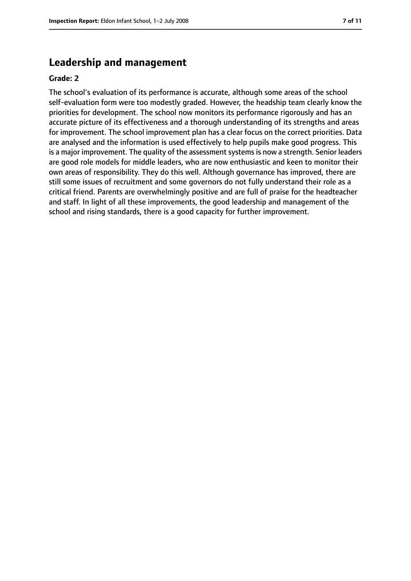## **Leadership and management**

#### **Grade: 2**

The school's evaluation of its performance is accurate, although some areas of the school self-evaluation form were too modestly graded. However, the headship team clearly know the priorities for development. The school now monitors its performance rigorously and has an accurate picture of its effectiveness and a thorough understanding of its strengths and areas for improvement. The school improvement plan has a clear focus on the correct priorities. Data are analysed and the information is used effectively to help pupils make good progress. This is a major improvement. The quality of the assessment systems is now a strength. Senior leaders are good role models for middle leaders, who are now enthusiastic and keen to monitor their own areas of responsibility. They do this well. Although governance has improved, there are still some issues of recruitment and some governors do not fully understand their role as a critical friend. Parents are overwhelmingly positive and are full of praise for the headteacher and staff. In light of all these improvements, the good leadership and management of the school and rising standards, there is a good capacity for further improvement.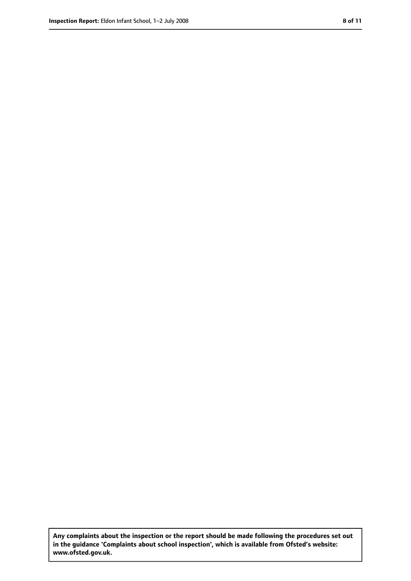**Any complaints about the inspection or the report should be made following the procedures set out in the guidance 'Complaints about school inspection', which is available from Ofsted's website: www.ofsted.gov.uk.**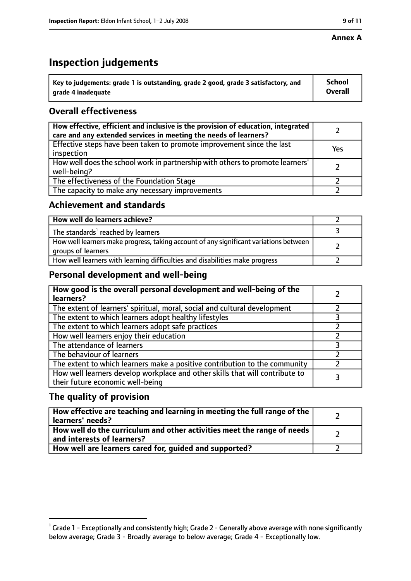#### **Annex A**

# **Inspection judgements**

| $^{\circ}$ Key to judgements: grade 1 is outstanding, grade 2 good, grade 3 satisfactory, and | <b>School</b>  |
|-----------------------------------------------------------------------------------------------|----------------|
| arade 4 inadequate                                                                            | <b>Overall</b> |

## **Overall effectiveness**

| How effective, efficient and inclusive is the provision of education, integrated<br>care and any extended services in meeting the needs of learners? |     |
|------------------------------------------------------------------------------------------------------------------------------------------------------|-----|
| Effective steps have been taken to promote improvement since the last<br>inspection                                                                  | Yes |
| How well does the school work in partnership with others to promote learners'<br>well-being?                                                         |     |
| The effectiveness of the Foundation Stage                                                                                                            |     |
| The capacity to make any necessary improvements                                                                                                      |     |

## **Achievement and standards**

| How well do learners achieve?                                                                               |  |
|-------------------------------------------------------------------------------------------------------------|--|
| The standards <sup>1</sup> reached by learners                                                              |  |
| How well learners make progress, taking account of any significant variations between<br>groups of learners |  |
| How well learners with learning difficulties and disabilities make progress                                 |  |

## **Personal development and well-being**

| How good is the overall personal development and well-being of the<br>learners?                                  |  |
|------------------------------------------------------------------------------------------------------------------|--|
| The extent of learners' spiritual, moral, social and cultural development                                        |  |
| The extent to which learners adopt healthy lifestyles                                                            |  |
| The extent to which learners adopt safe practices                                                                |  |
| How well learners enjoy their education                                                                          |  |
| The attendance of learners                                                                                       |  |
| The behaviour of learners                                                                                        |  |
| The extent to which learners make a positive contribution to the community                                       |  |
| How well learners develop workplace and other skills that will contribute to<br>their future economic well-being |  |

## **The quality of provision**

| How effective are teaching and learning in meeting the full range of the<br>learners' needs?          |  |
|-------------------------------------------------------------------------------------------------------|--|
| How well do the curriculum and other activities meet the range of needs<br>and interests of learners? |  |
| How well are learners cared for, guided and supported?                                                |  |

 $^1$  Grade 1 - Exceptionally and consistently high; Grade 2 - Generally above average with none significantly below average; Grade 3 - Broadly average to below average; Grade 4 - Exceptionally low.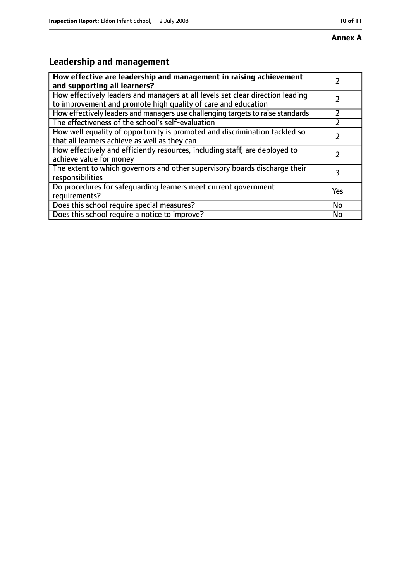# **Annex A**

# **Leadership and management**

| How effective are leadership and management in raising achievement              |     |
|---------------------------------------------------------------------------------|-----|
| and supporting all learners?                                                    |     |
| How effectively leaders and managers at all levels set clear direction leading  |     |
| to improvement and promote high quality of care and education                   |     |
| How effectively leaders and managers use challenging targets to raise standards |     |
| The effectiveness of the school's self-evaluation                               |     |
| How well equality of opportunity is promoted and discrimination tackled so      |     |
| that all learners achieve as well as they can                                   |     |
| How effectively and efficiently resources, including staff, are deployed to     | 7   |
| achieve value for money                                                         |     |
| The extent to which governors and other supervisory boards discharge their      | 3   |
| responsibilities                                                                |     |
| Do procedures for safequarding learners meet current government                 | Yes |
| requirements?                                                                   |     |
| Does this school require special measures?                                      | No  |
| Does this school require a notice to improve?                                   | No  |